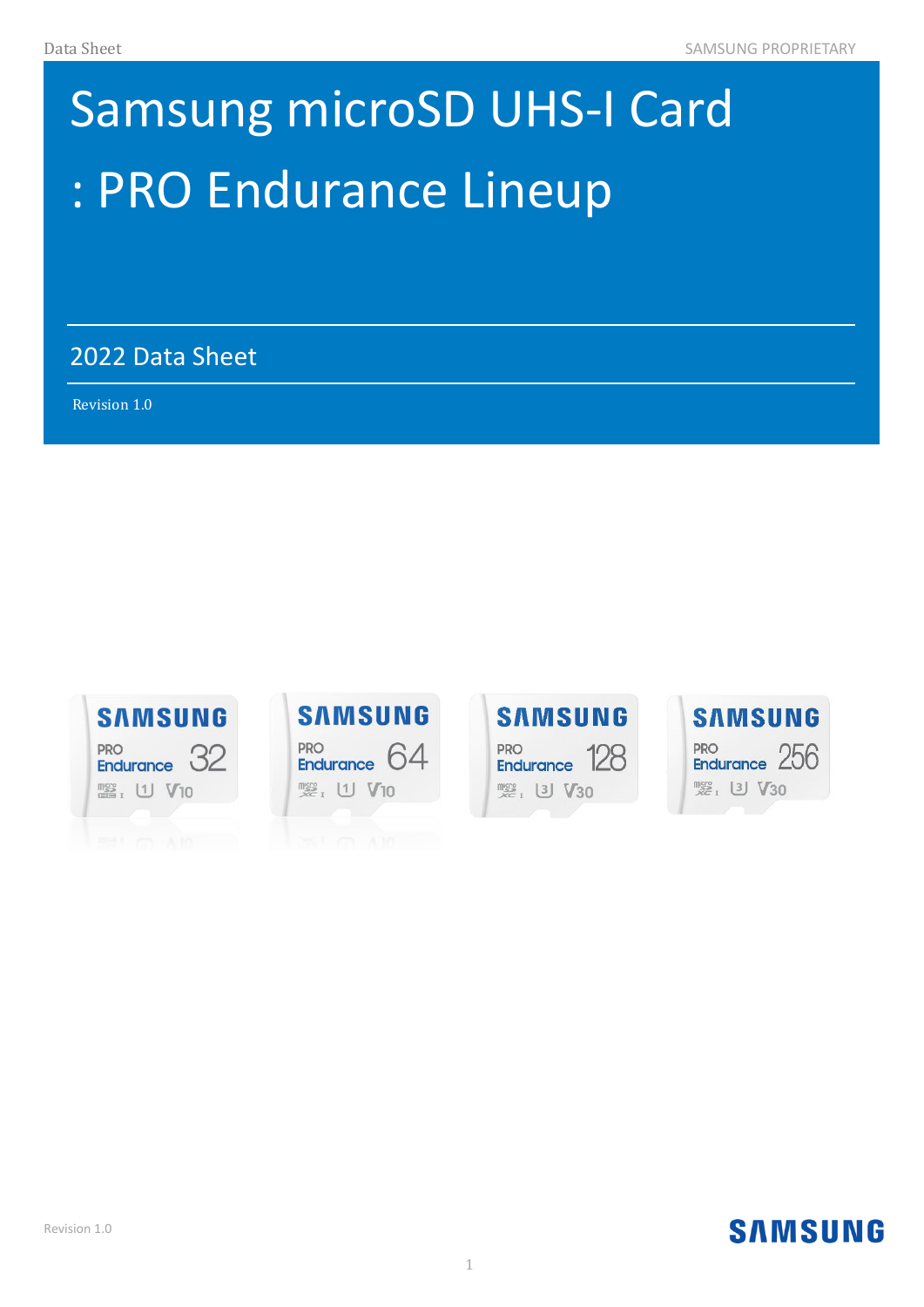# : PRO Endurance Lineup Samsung microSD UHS-I Card

2022 Data Sheet

 $\mathcal{A}(\mathcal{A})=\mathcal{A}(\mathcal{A})$  and  $\mathcal{A}(\mathcal{A})=\mathcal{A}(\mathcal{A})$  . The set of  $\mathcal{A}(\mathcal{A})$ 

Revision 1.0 )









#### Revision 1.0

## **SAMSUNG**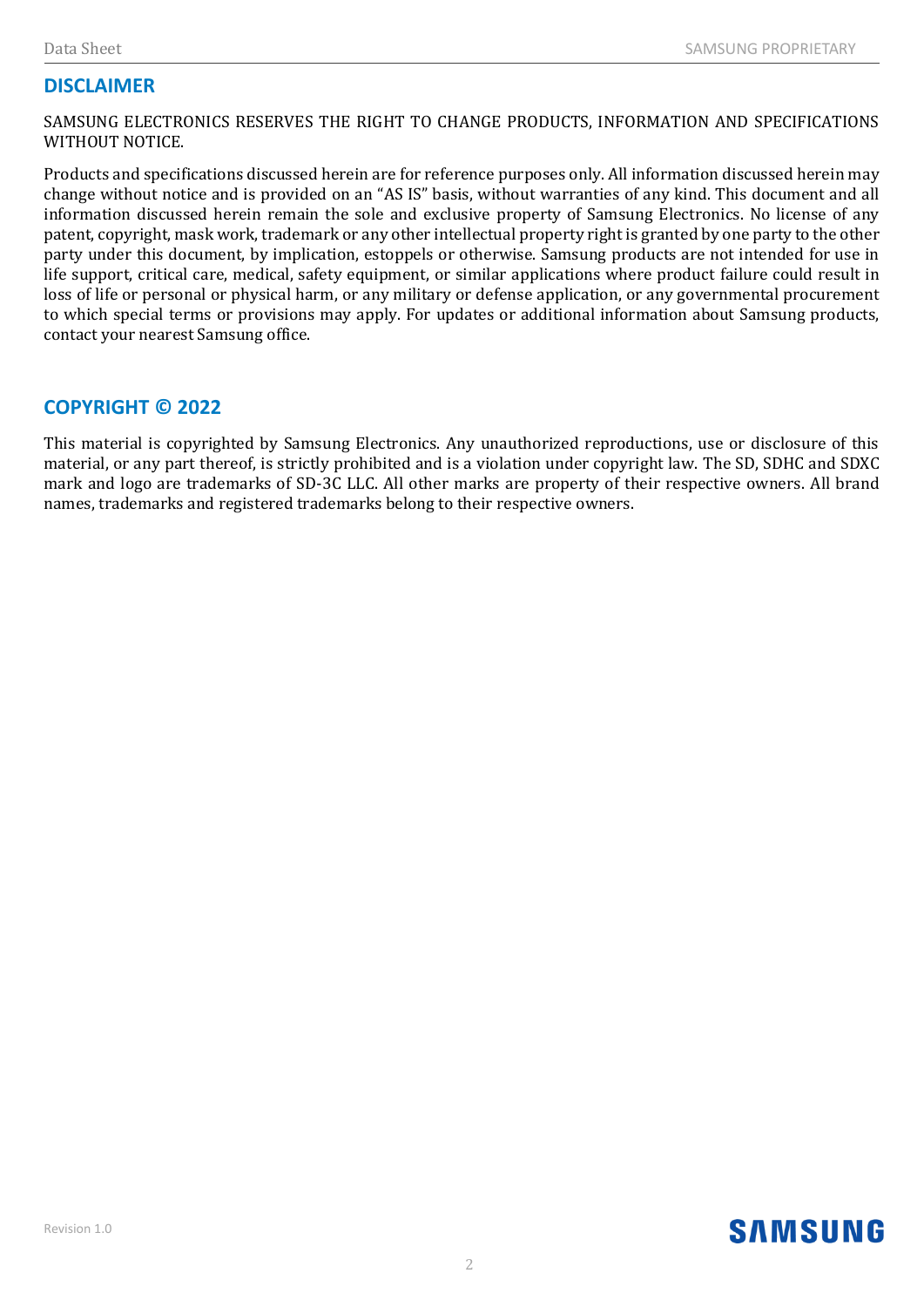#### **DISCLAIMER**

SAMSUNG ELECTRONICS RESERVES THE RIGHT TO CHANGE PRODUCTS, INFORMATION AND SPECIFICATIONS WITHOUT NOTICE.

Products and specifications discussed herein are for reference purposes only. All information discussed herein may change without notice and is provided on an "AS IS" basis, without warranties of any kind. This document and all information discussed herein remain the sole and exclusive property of Samsung Electronics. No license of any patent, copyright, mask work, trademark or any other intellectual property right is granted by one party to the other party under this document, by implication, estoppels or otherwise. Samsung products are not intended for use in life support, critical care, medical, safety equipment, or similar applications where product failure could result in loss of life or personal or physical harm, or any military or defense application, or any governmental procurement to which special terms or provisions may apply. For updates or additional information about Samsung products, contact your nearest Samsung office.

#### **COPYRIGHT © 2022**

This material is copyrighted by Samsung Electronics. Any unauthorized reproductions, use or disclosure of this material, or any part thereof, is strictly prohibited and is a violation under copyright law. The SD, SDHC and SDXC mark and logo are trademarks of SD-3C LLC. All other marks are property of their respective owners. All brand names, trademarks and registered trademarks belong to their respective owners.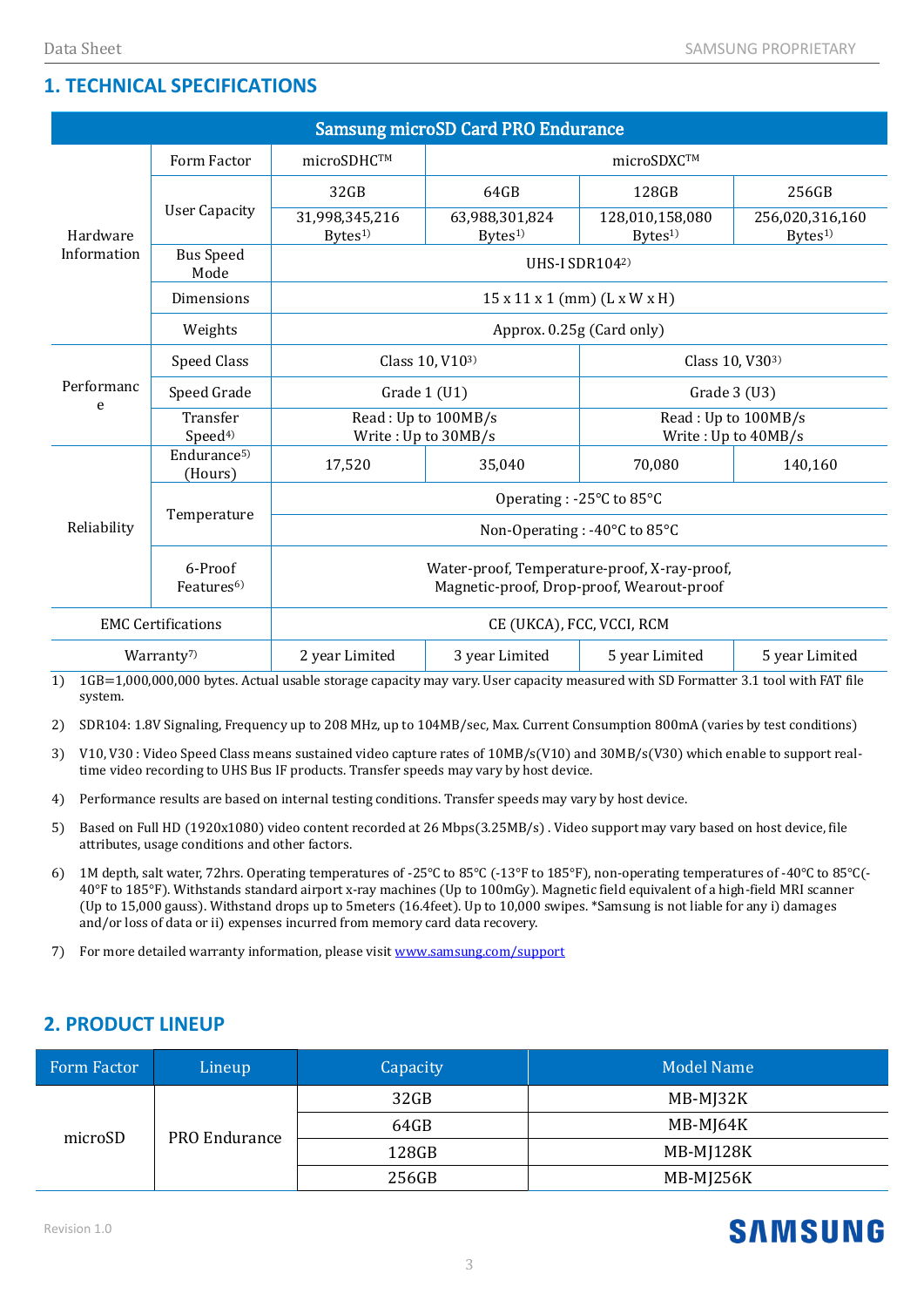#### **1. TECHNICAL SPECIFICATIONS**

| <b>Samsung microSD Card PRO Endurance</b> |                                    |                                                                                           |                                      |                                            |                                       |  |  |  |
|-------------------------------------------|------------------------------------|-------------------------------------------------------------------------------------------|--------------------------------------|--------------------------------------------|---------------------------------------|--|--|--|
| Hardware<br>Information                   | Form Factor                        | microSDHC™                                                                                | microSDXC™                           |                                            |                                       |  |  |  |
|                                           | <b>User Capacity</b>               | 32GB                                                                                      | 64GB                                 | 128GB                                      | 256GB                                 |  |  |  |
|                                           |                                    | 31,998,345,216<br>$B$ ytes <sup>1)</sup>                                                  | 63,988,301,824<br>Bytes <sup>1</sup> | 128,010,158,080<br>Bytes <sup>1</sup>      | 256,020,316,160<br>Bytes <sup>1</sup> |  |  |  |
|                                           | <b>Bus Speed</b><br>Mode           | UHS-I SDR1042)                                                                            |                                      |                                            |                                       |  |  |  |
|                                           | Dimensions                         | $15 \times 11 \times 1$ (mm) (L x W x H)                                                  |                                      |                                            |                                       |  |  |  |
|                                           | Weights                            | Approx. 0.25g (Card only)                                                                 |                                      |                                            |                                       |  |  |  |
| Performanc<br>e                           | Speed Class                        | Class 10, V103)                                                                           |                                      | Class 10, V303)                            |                                       |  |  |  |
|                                           | Speed Grade                        | Grade 1 (U1)                                                                              |                                      | Grade 3 (U3)                               |                                       |  |  |  |
|                                           | Transfer<br>Speed <sup>4)</sup>    | Read: Up to 100MB/s<br>Write: Up to 30MB/s                                                |                                      | Read: Up to 100MB/s<br>Write: Up to 40MB/s |                                       |  |  |  |
| Reliability                               | Endurance <sup>5)</sup><br>(Hours) | 17,520                                                                                    | 35,040                               | 70,080                                     | 140,160                               |  |  |  |
|                                           | Temperature                        | Operating: -25°C to 85°C                                                                  |                                      |                                            |                                       |  |  |  |
|                                           |                                    | Non-Operating : -40°C to 85°C                                                             |                                      |                                            |                                       |  |  |  |
|                                           | 6-Proof<br>Features <sup>6)</sup>  | Water-proof, Temperature-proof, X-ray-proof,<br>Magnetic-proof, Drop-proof, Wearout-proof |                                      |                                            |                                       |  |  |  |
| <b>EMC Certifications</b>                 |                                    | CE (UKCA), FCC, VCCI, RCM                                                                 |                                      |                                            |                                       |  |  |  |
| Warranty <sup>7</sup>                     |                                    | 2 year Limited                                                                            | 3 year Limited                       | 5 year Limited                             | 5 year Limited                        |  |  |  |

1) 1GB=1,000,000,000 bytes. Actual usable storage capacity may vary. User capacity measured with SD Formatter 3.1 tool with FAT file system.

2) SDR104: 1.8V Signaling, Frequency up to 208 MHz, up to 104MB/sec, Max. Current Consumption 800mA (varies by test conditions)

- 3) V10, V30 : Video Speed Class means sustained video capture rates of 10MB/s(V10) and 30MB/s(V30) which enable to support realtime video recording to UHS Bus IF products. Transfer speeds may vary by host device.
- 4) Performance results are based on internal testing conditions. Transfer speeds may vary by host device.
- 5) Based on Full HD (1920x1080) video content recorded at 26 Mbps(3.25MB/s) . Video support may vary based on host device, file attributes, usage conditions and other factors.
- 6) 1M depth, salt water, 72hrs. Operating temperatures of -25℃ to 85℃ (-13°F to 185°F), non-operating temperatures of -40℃ to 85℃(- 40°F to 185°F). Withstands standard airport x-ray machines (Up to 100mGy). Magnetic field equivalent of a high-field MRI scanner (Up to 15,000 gauss). Withstand drops up to 5meters (16.4feet). Up to 10,000 swipes. \*Samsung is not liable for any i) damages and/or loss of data or ii) expenses incurred from memory card data recovery.
- 7) For more detailed warranty information, please visi[t www.samsung.com/support](http://www.samsung.com/support)

#### **2. PRODUCT LINEUP**

| Form Factor | Lineup        | Capacity | Model Name |
|-------------|---------------|----------|------------|
| microSD     | PRO Endurance | 32GB     | MB-MJ32K   |
|             |               | 64GB     | MB-MJ64K   |
|             |               | 128GB    | MB-MJ128K  |
|             |               | 256GB    | MB-MJ256K  |